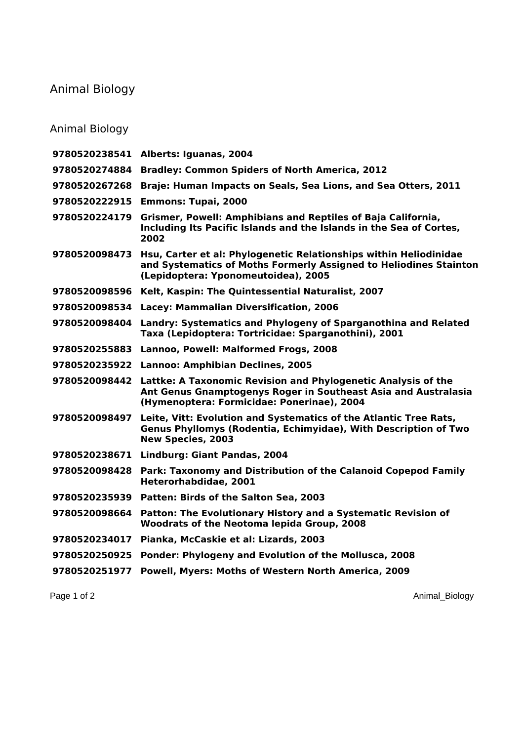## Animal Biology

## Animal Biology

|               | 9780520238541 Alberts: Iguanas, 2004                                                                                                                                                        |
|---------------|---------------------------------------------------------------------------------------------------------------------------------------------------------------------------------------------|
| 9780520274884 | <b>Bradley: Common Spiders of North America, 2012</b>                                                                                                                                       |
| 9780520267268 | Braje: Human Impacts on Seals, Sea Lions, and Sea Otters, 2011                                                                                                                              |
| 9780520222915 | <b>Emmons: Tupai, 2000</b>                                                                                                                                                                  |
| 9780520224179 | Grismer, Powell: Amphibians and Reptiles of Baja California,<br>Including Its Pacific Islands and the Islands in the Sea of Cortes,<br>2002                                                 |
| 9780520098473 | Hsu, Carter et al: Phylogenetic Relationships within Heliodinidae<br>and Systematics of Moths Formerly Assigned to Heliodines Stainton<br>(Lepidoptera: Yponomeutoidea), 2005               |
| 9780520098596 | Kelt, Kaspin: The Quintessential Naturalist, 2007                                                                                                                                           |
| 9780520098534 | Lacey: Mammalian Diversification, 2006                                                                                                                                                      |
| 9780520098404 | Landry: Systematics and Phylogeny of Sparganothina and Related<br>Taxa (Lepidoptera: Tortricidae: Sparganothini), 2001                                                                      |
| 9780520255883 | Lannoo, Powell: Malformed Frogs, 2008                                                                                                                                                       |
| 9780520235922 | <b>Lannoo: Amphibian Declines, 2005</b>                                                                                                                                                     |
|               | 9780520098442 Lattke: A Taxonomic Revision and Phylogenetic Analysis of the<br>Ant Genus Gnamptogenys Roger in Southeast Asia and Australasia<br>(Hymenoptera: Formicidae: Ponerinae), 2004 |
|               | 9780520098497 Leite, Vitt: Evolution and Systematics of the Atlantic Tree Rats,<br>Genus Phyllomys (Rodentia, Echimyidae), With Description of Two<br><b>New Species, 2003</b>              |
| 9780520238671 | Lindburg: Giant Pandas, 2004                                                                                                                                                                |
| 9780520098428 | Park: Taxonomy and Distribution of the Calanoid Copepod Family<br>Heterorhabdidae, 2001                                                                                                     |
|               | 9780520235939 Patten: Birds of the Salton Sea, 2003                                                                                                                                         |
| 9780520098664 | Patton: The Evolutionary History and a Systematic Revision of<br>Woodrats of the Neotoma lepida Group, 2008                                                                                 |
| 9780520234017 | Pianka, McCaskie et al: Lizards, 2003                                                                                                                                                       |
| 9780520250925 | Ponder: Phylogeny and Evolution of the Mollusca, 2008                                                                                                                                       |
| 9780520251977 | Powell, Myers: Moths of Western North America, 2009                                                                                                                                         |
|               |                                                                                                                                                                                             |

Page 1 of 2 Animal\_Biology